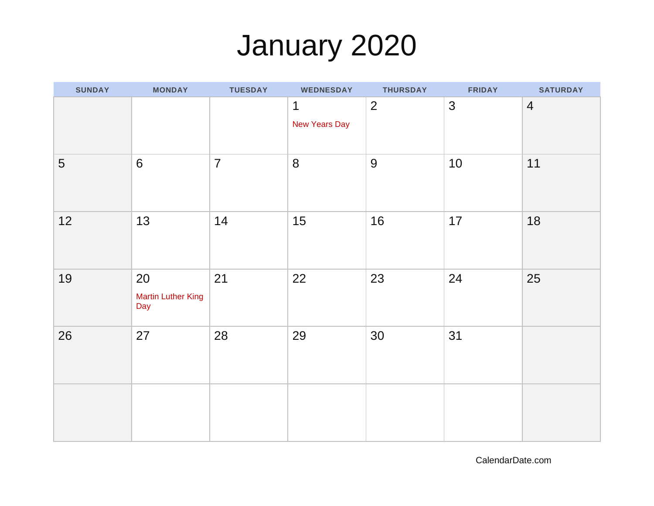## January 2020

| <b>SUNDAY</b> | <b>MONDAY</b>                          | <b>TUESDAY</b> | <b>WEDNESDAY</b>             | <b>THURSDAY</b> | <b>FRIDAY</b> | <b>SATURDAY</b> |
|---------------|----------------------------------------|----------------|------------------------------|-----------------|---------------|-----------------|
|               |                                        |                | $\mathbf 1$<br>New Years Day | $\overline{2}$  | 3             | $\overline{4}$  |
| 5             | $6\phantom{1}6$                        | $\overline{7}$ | 8                            | 9               | 10            | 11              |
| 12            | 13                                     | 14             | 15                           | 16              | 17            | 18              |
| 19            | 20<br><b>Martin Luther King</b><br>Day | 21             | 22                           | 23              | 24            | 25              |
| 26            | 27                                     | 28             | 29                           | 30              | 31            |                 |
|               |                                        |                |                              |                 |               |                 |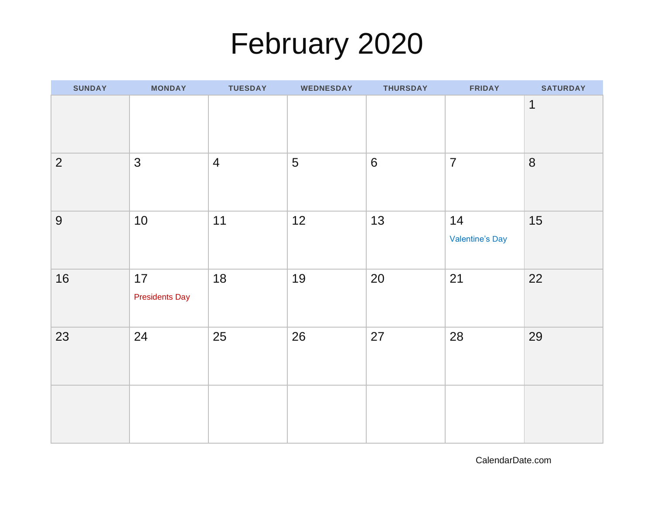## February 2020

| <b>SUNDAY</b>  | <b>MONDAY</b>               | <b>TUESDAY</b> | <b>WEDNESDAY</b> | <b>THURSDAY</b> | <b>FRIDAY</b>                | <b>SATURDAY</b> |
|----------------|-----------------------------|----------------|------------------|-----------------|------------------------------|-----------------|
|                |                             |                |                  |                 |                              | $\mathbf{1}$    |
| $\overline{2}$ | $\mathfrak{S}$              | $\overline{4}$ | 5                | $6\phantom{1}6$ | $\overline{7}$               | 8               |
| 9              | 10                          | 11             | 12               | 13              | 14<br><b>Valentine's Day</b> | 15              |
| 16             | 17<br><b>Presidents Day</b> | 18             | 19               | 20              | 21                           | 22              |
| 23             | 24                          | 25             | 26               | 27              | 28                           | 29              |
|                |                             |                |                  |                 |                              |                 |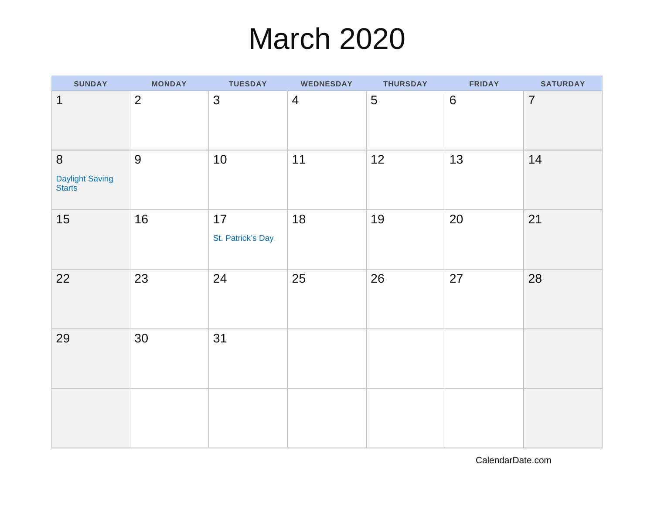## March 2020

| <b>SUNDAY</b>                               | <b>MONDAY</b>  | <b>TUESDAY</b>          | <b>WEDNESDAY</b> | <b>THURSDAY</b> | <b>FRIDAY</b> | <b>SATURDAY</b> |
|---------------------------------------------|----------------|-------------------------|------------------|-----------------|---------------|-----------------|
| $\mathbf 1$                                 | $\overline{2}$ | 3                       | $\overline{4}$   | 5               | $6\,$         | $\overline{7}$  |
| $\,8\,$<br>Daylight Saving<br><b>Starts</b> | 9              | $10$                    | 11               | 12              | 13            | 14              |
| 15                                          | 16             | 17<br>St. Patrick's Day | 18               | 19              | 20            | 21              |
| 22                                          | 23             | 24                      | 25               | 26              | 27            | 28              |
| 29                                          | 30             | 31                      |                  |                 |               |                 |
|                                             |                |                         |                  |                 |               |                 |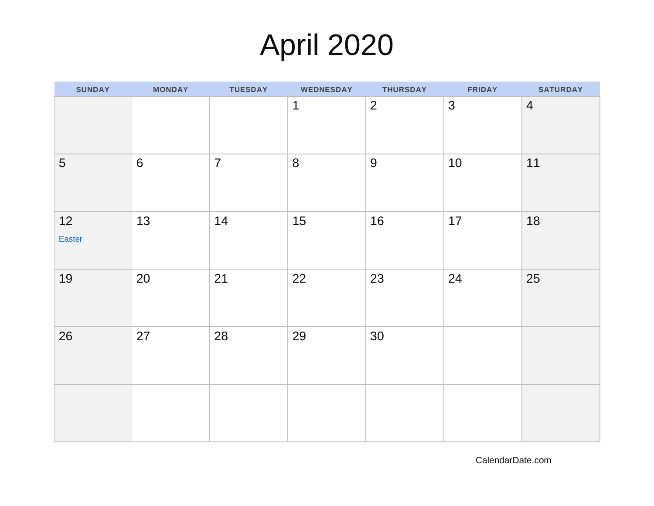# April 2020

| <b>SUNDAY</b> | <b>MONDAY</b>   | <b>TUESDAY</b> | <b>WEDNESDAY</b> | <b>THURSDAY</b> | <b>FRIDAY</b> | <b>SATURDAY</b> |
|---------------|-----------------|----------------|------------------|-----------------|---------------|-----------------|
|               |                 |                | $\mathbf 1$      | $\overline{2}$  | 3             | $\overline{4}$  |
| 5             | $6\phantom{1}6$ | $\overline{7}$ | 8                | $9$             | 10            | 11              |
| 12<br>Easter  | 13              | 14             | 15               | 16              | 17            | 18              |
| 19            | 20              | 21             | 22               | 23              | 24            | 25              |
| 26            | 27              | 28             | 29               | 30              |               |                 |
|               |                 |                |                  |                 |               |                 |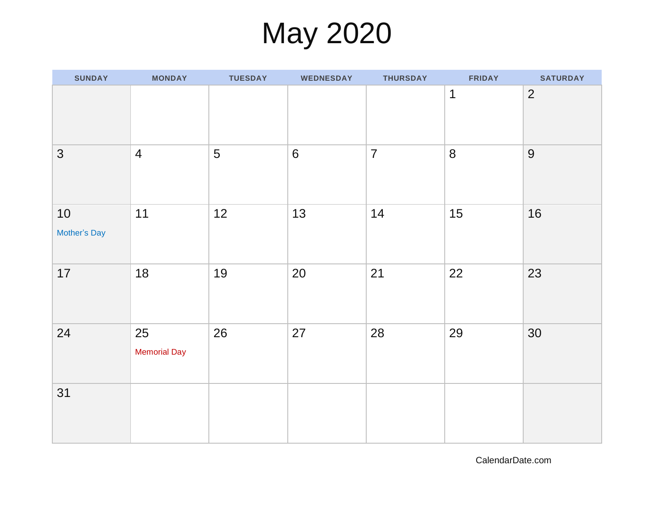### May 2020

| <b>SUNDAY</b>        | <b>MONDAY</b>             | <b>TUESDAY</b> | <b>WEDNESDAY</b> | <b>THURSDAY</b> | <b>FRIDAY</b>  | <b>SATURDAY</b> |
|----------------------|---------------------------|----------------|------------------|-----------------|----------------|-----------------|
|                      |                           |                |                  |                 | $\mathbf 1$    | $\overline{2}$  |
| $\mathfrak{S}$       | $\overline{4}$            | 5              | $6\phantom{a}$   | $\overline{7}$  | $8\phantom{1}$ | 9               |
| $10$<br>Mother's Day | 11                        | 12             | 13               | 14              | 15             | 16              |
| 17                   | 18                        | 19             | 20               | 21              | 22             | 23              |
| 24                   | 25<br><b>Memorial Day</b> | 26             | 27               | 28              | 29             | 30              |
| 31                   |                           |                |                  |                 |                |                 |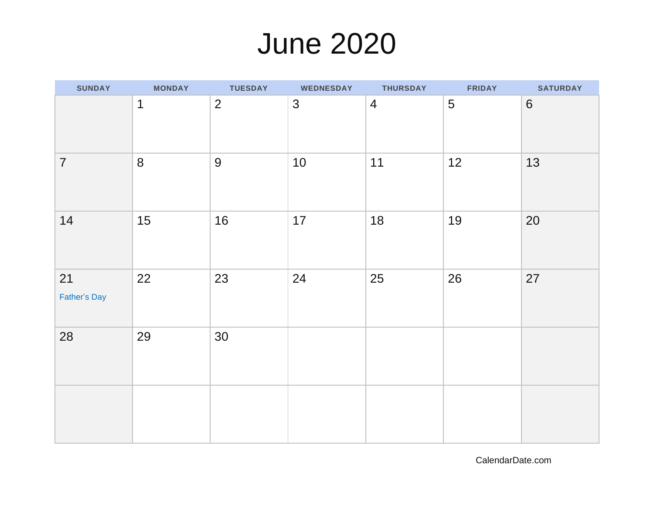### June 2020

| <b>SUNDAY</b>      | <b>MONDAY</b>    | <b>TUESDAY</b> | <b>WEDNESDAY</b> | <b>THURSDAY</b> | <b>FRIDAY</b> | <b>SATURDAY</b> |
|--------------------|------------------|----------------|------------------|-----------------|---------------|-----------------|
|                    | $\mathbf 1$      | $\overline{2}$ | 3                | $\overline{4}$  | 5             | $6\phantom{1}$  |
| $\overline{7}$     | $\boldsymbol{8}$ | 9              | 10               | 11              | 12            | 13              |
| 14                 | 15               | 16             | 17               | 18              | 19            | 20              |
| 21<br>Father's Day | 22               | 23             | 24               | 25              | 26            | 27              |
| 28                 | 29               | 30             |                  |                 |               |                 |
|                    |                  |                |                  |                 |               |                 |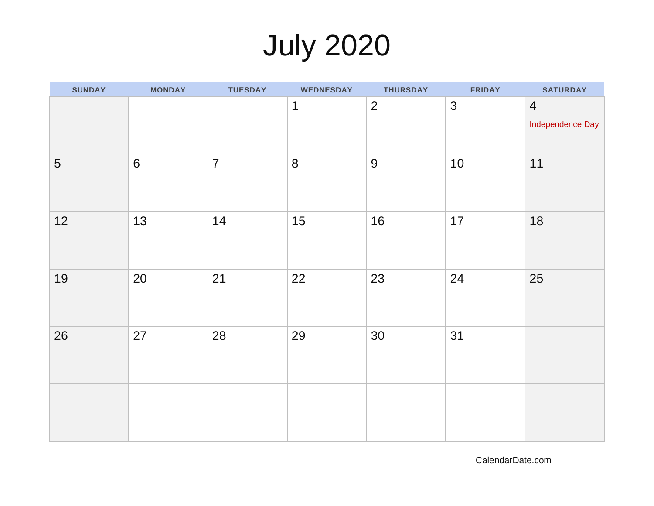## July 2020

| <b>SUNDAY</b> | <b>MONDAY</b>  | <b>TUESDAY</b> | <b>WEDNESDAY</b> | <b>THURSDAY</b> | <b>FRIDAY</b> | <b>SATURDAY</b>                    |
|---------------|----------------|----------------|------------------|-----------------|---------------|------------------------------------|
|               |                |                | $\mathbf 1$      | $\overline{2}$  | 3             | $\overline{4}$<br>Independence Day |
| 5             | $6\phantom{a}$ | $\overline{7}$ | 8                | $9$             | 10            | 11                                 |
| 12            | 13             | 14             | 15               | 16              | 17            | 18                                 |
| 19            | 20             | 21             | 22               | 23              | 24            | 25                                 |
| 26            | 27             | 28             | 29               | 30              | 31            |                                    |
|               |                |                |                  |                 |               |                                    |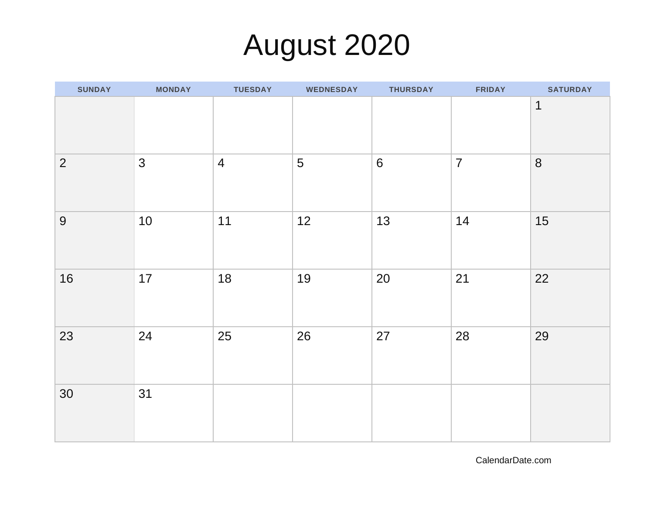# August 2020

| <b>SUNDAY</b>  | <b>MONDAY</b>  | <b>TUESDAY</b> | <b>WEDNESDAY</b> | <b>THURSDAY</b> | <b>FRIDAY</b>  | <b>SATURDAY</b>  |
|----------------|----------------|----------------|------------------|-----------------|----------------|------------------|
|                |                |                |                  |                 |                | 1                |
| $\overline{2}$ | $\mathfrak{Z}$ | $\overline{4}$ | 5                | $6\,$           | $\overline{7}$ | $\boldsymbol{8}$ |
| 9              | 10             | 11             | 12               | 13              | 14             | 15               |
| 16             | 17             | 18             | 19               | 20              | 21             | 22               |
| 23             | 24             | 25             | 26               | 27              | 28             | 29               |
| 30             | 31             |                |                  |                 |                |                  |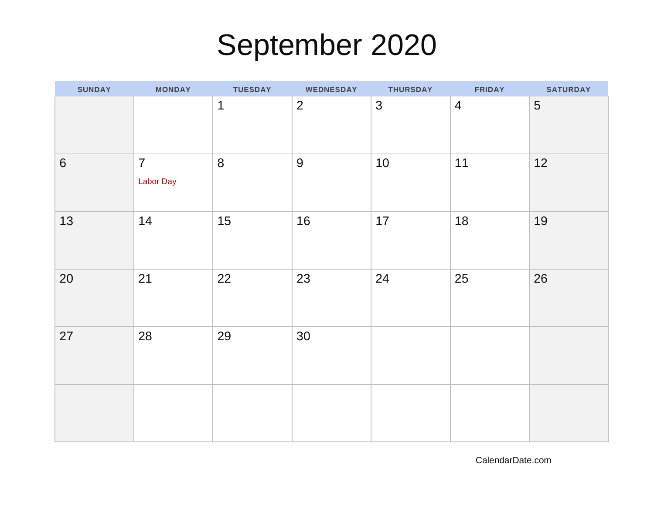## September 2020

| <b>SUNDAY</b>  | <b>MONDAY</b>               | <b>TUESDAY</b>   | <b>WEDNESDAY</b> | <b>THURSDAY</b> | <b>FRIDAY</b>  | <b>SATURDAY</b> |
|----------------|-----------------------------|------------------|------------------|-----------------|----------------|-----------------|
|                |                             | $\mathbf 1$      | $\overline{2}$   | 3               | $\overline{4}$ | 5               |
| $6\phantom{a}$ | $\overline{7}$<br>Labor Day | $\boldsymbol{8}$ | 9                | 10              | 11             | 12              |
| 13             | 14                          | 15               | 16               | 17              | 18             | 19              |
| 20             | 21                          | 22               | 23               | 24              | 25             | 26              |
| 27             | 28                          | 29               | 30               |                 |                |                 |
|                |                             |                  |                  |                 |                |                 |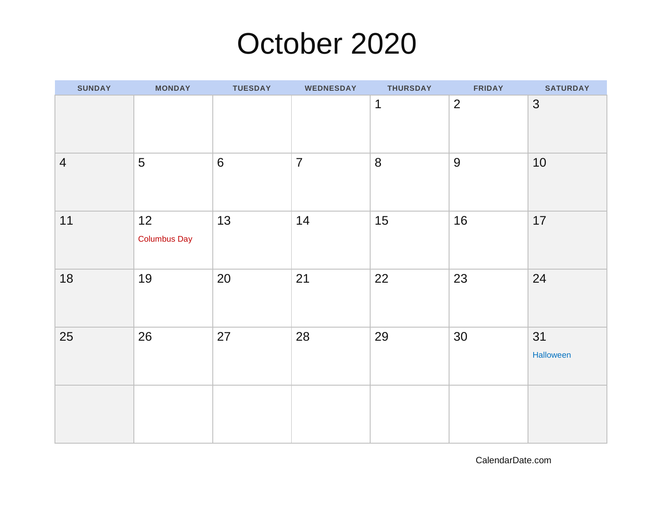### October 2020

| <b>SUNDAY</b>  | <b>MONDAY</b>             | <b>TUESDAY</b> | <b>WEDNESDAY</b> | <b>THURSDAY</b> | <b>FRIDAY</b>  | <b>SATURDAY</b> |
|----------------|---------------------------|----------------|------------------|-----------------|----------------|-----------------|
|                |                           |                |                  | $\mathbf 1$     | $\overline{2}$ | 3               |
| $\overline{4}$ | 5                         | $6\,$          | $\overline{7}$   | 8               | 9              | 10              |
| 11             | 12<br><b>Columbus Day</b> | 13             | 14               | 15              | 16             | 17              |
| 18             | 19                        | 20             | 21               | 22              | 23             | 24              |
| 25             | 26                        | 27             | 28               | 29              | 30             | 31<br>Halloween |
|                |                           |                |                  |                 |                |                 |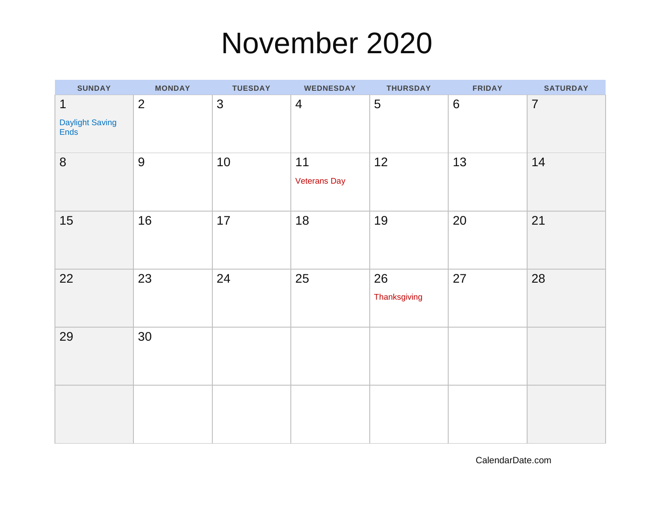### November 2020

| <b>SUNDAY</b>                                  | <b>MONDAY</b>  | <b>TUESDAY</b> | <b>WEDNESDAY</b>          | <b>THURSDAY</b>    | <b>FRIDAY</b> | <b>SATURDAY</b> |
|------------------------------------------------|----------------|----------------|---------------------------|--------------------|---------------|-----------------|
| $\mathbf{1}$<br><b>Daylight Saving</b><br>Ends | $\overline{2}$ | 3              | $\overline{4}$            | 5                  | $6\,$         | $\overline{7}$  |
| 8                                              | $9$            | 10             | 11<br><b>Veterans Day</b> | 12                 | 13            | 14              |
| 15                                             | 16             | 17             | 18                        | 19                 | 20            | 21              |
| 22                                             | 23             | 24             | 25                        | 26<br>Thanksgiving | 27            | 28              |
| 29                                             | 30             |                |                           |                    |               |                 |
|                                                |                |                |                           |                    |               |                 |